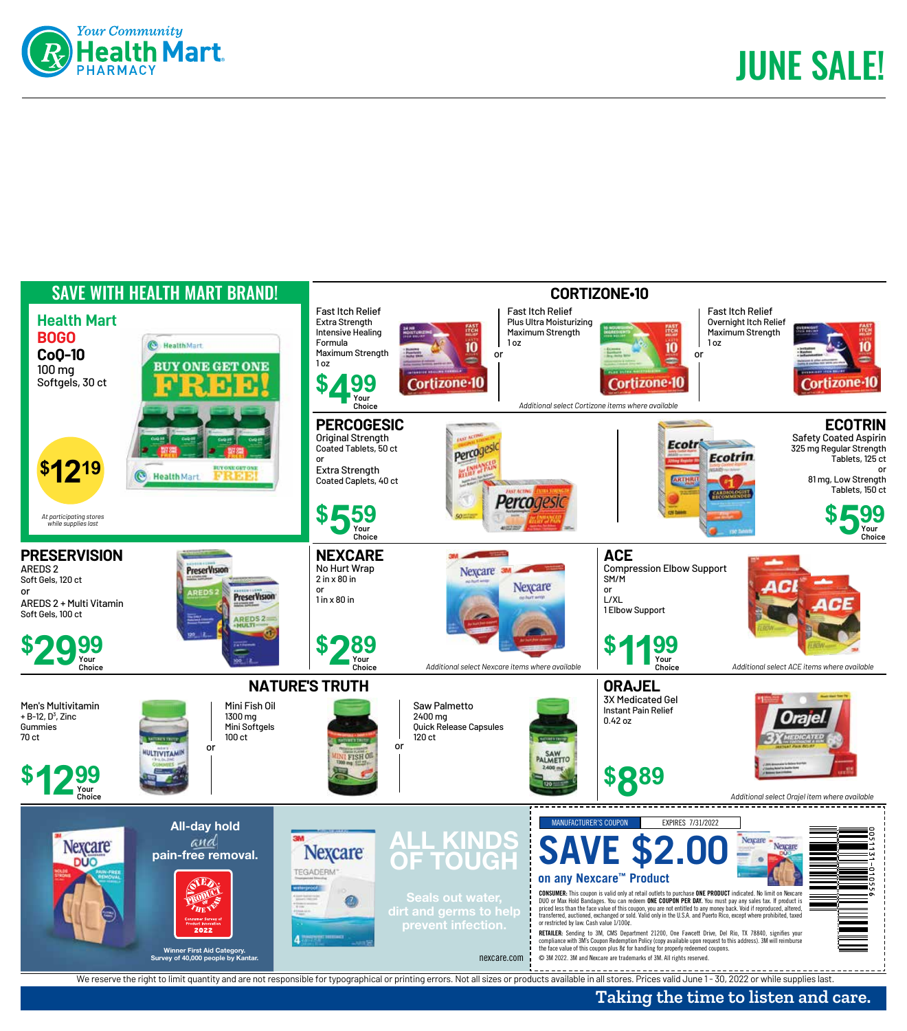



## **Taking the time to listen and care.**